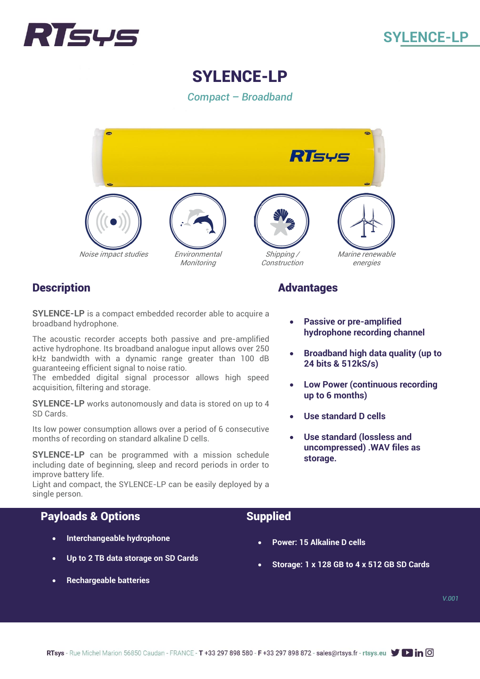

# SYLENCE-LP

Compact – Broadband



## **Description**

**SYLENCE-LP** is a compact embedded recorder able to acquire a broadband hydrophone.

The acoustic recorder accepts both passive and pre-amplified active hydrophone. Its broadband analogue input allows over 250 kHz bandwidth with a dynamic range greater than 100 dB guaranteeing efficient signal to noise ratio.

The embedded digital signal processor allows high speed acquisition, filtering and storage.

**SYLENCE-LP** works autonomously and data is stored on up to 4 SD Cards.

Its low power consumption allows over a period of 6 consecutive months of recording on standard alkaline D cells.

**SYLENCE-LP** can be programmed with a mission schedule including date of beginning, sleep and record periods in order to improve battery life.

Light and compact, the SYLENCE-LP can be easily deployed by a single person.

### Payloads & Options

- **Interchangeable hydrophone**
- **Up to 2 TB data storage on SD Cards**
- **Rechargeable batteries**

## Advantages

- **Passive or pre-amplified hydrophone recording channel**
- **Broadband high data quality (up to 24 bits & 512kS/s)**
- **Low Power (continuous recording up to 6 months)**
- **Use standard D cells**
- **Use standard (lossless and uncompressed) .WAV files as storage.**

# **Supplied**

- **Power: 15 Alkaline D cells**
- **Storage: 1 x 128 GB to 4 x 512 GB SD Cards**